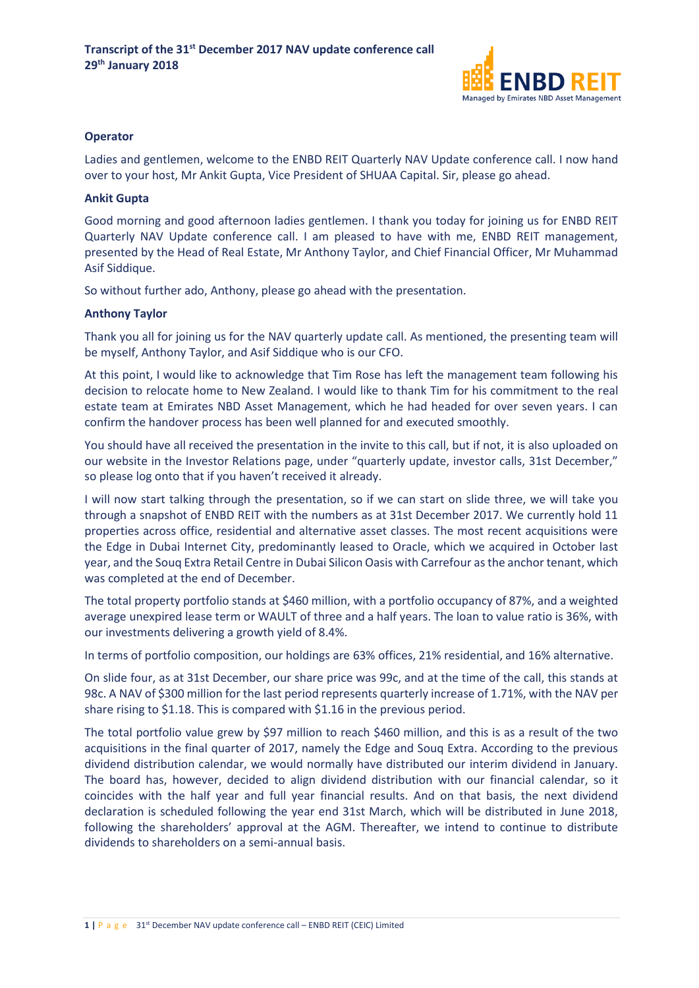

# **Operator**

Ladies and gentlemen, welcome to the ENBD REIT Quarterly NAV Update conference call. I now hand over to your host, Mr Ankit Gupta, Vice President of SHUAA Capital. Sir, please go ahead.

#### **Ankit Gupta**

Good morning and good afternoon ladies gentlemen. I thank you today for joining us for ENBD REIT Quarterly NAV Update conference call. I am pleased to have with me, ENBD REIT management, presented by the Head of Real Estate, Mr Anthony Taylor, and Chief Financial Officer, Mr Muhammad Asif Siddique.

So without further ado, Anthony, please go ahead with the presentation.

#### **Anthony Taylor**

Thank you all for joining us for the NAV quarterly update call. As mentioned, the presenting team will be myself, Anthony Taylor, and Asif Siddique who is our CFO.

At this point, I would like to acknowledge that Tim Rose has left the management team following his decision to relocate home to New Zealand. I would like to thank Tim for his commitment to the real estate team at Emirates NBD Asset Management, which he had headed for over seven years. I can confirm the handover process has been well planned for and executed smoothly.

You should have all received the presentation in the invite to this call, but if not, it is also uploaded on our website in the Investor Relations page, under "quarterly update, investor calls, 31st December," so please log onto that if you haven't received it already.

I will now start talking through the presentation, so if we can start on slide three, we will take you through a snapshot of ENBD REIT with the numbers as at 31st December 2017. We currently hold 11 properties across office, residential and alternative asset classes. The most recent acquisitions were the Edge in Dubai Internet City, predominantly leased to Oracle, which we acquired in October last year, and the Souq Extra Retail Centre in Dubai Silicon Oasis with Carrefour as the anchor tenant, which was completed at the end of December.

The total property portfolio stands at \$460 million, with a portfolio occupancy of 87%, and a weighted average unexpired lease term or WAULT of three and a half years. The loan to value ratio is 36%, with our investments delivering a growth yield of 8.4%.

In terms of portfolio composition, our holdings are 63% offices, 21% residential, and 16% alternative.

On slide four, as at 31st December, our share price was 99c, and at the time of the call, this stands at 98c. A NAV of \$300 million for the last period represents quarterly increase of 1.71%, with the NAV per share rising to \$1.18. This is compared with \$1.16 in the previous period.

The total portfolio value grew by \$97 million to reach \$460 million, and this is as a result of the two acquisitions in the final quarter of 2017, namely the Edge and Souq Extra. According to the previous dividend distribution calendar, we would normally have distributed our interim dividend in January. The board has, however, decided to align dividend distribution with our financial calendar, so it coincides with the half year and full year financial results. And on that basis, the next dividend declaration is scheduled following the year end 31st March, which will be distributed in June 2018, following the shareholders' approval at the AGM. Thereafter, we intend to continue to distribute dividends to shareholders on a semi-annual basis.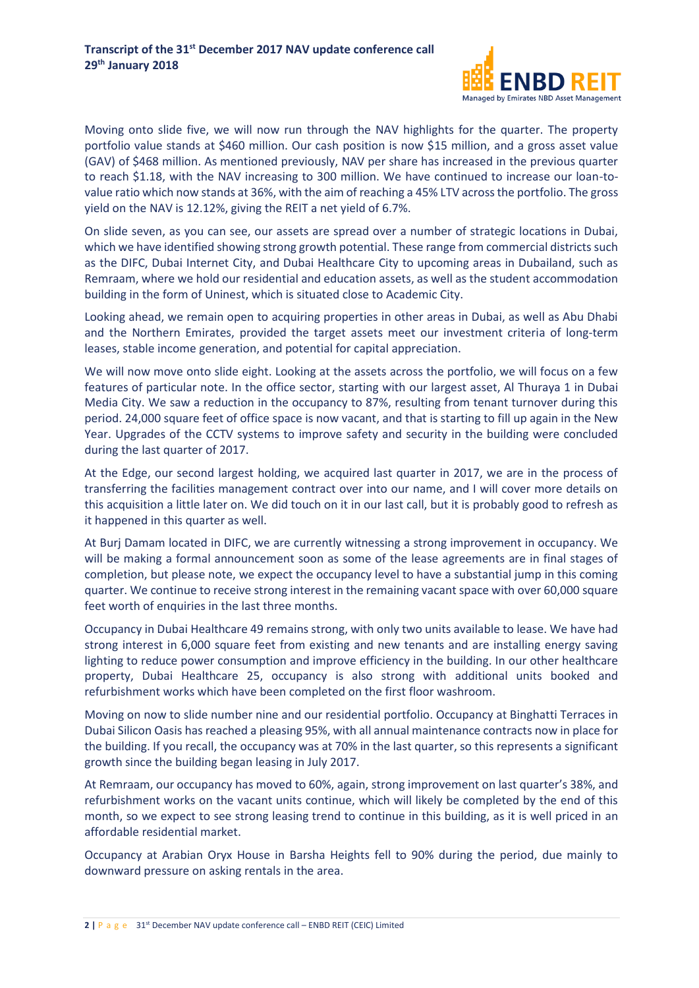

Moving onto slide five, we will now run through the NAV highlights for the quarter. The property portfolio value stands at \$460 million. Our cash position is now \$15 million, and a gross asset value (GAV) of \$468 million. As mentioned previously, NAV per share has increased in the previous quarter to reach \$1.18, with the NAV increasing to 300 million. We have continued to increase our loan-tovalue ratio which now stands at 36%, with the aim of reaching a 45% LTV across the portfolio. The gross yield on the NAV is 12.12%, giving the REIT a net yield of 6.7%.

On slide seven, as you can see, our assets are spread over a number of strategic locations in Dubai, which we have identified showing strong growth potential. These range from commercial districts such as the DIFC, Dubai Internet City, and Dubai Healthcare City to upcoming areas in Dubailand, such as Remraam, where we hold our residential and education assets, as well as the student accommodation building in the form of Uninest, which is situated close to Academic City.

Looking ahead, we remain open to acquiring properties in other areas in Dubai, as well as Abu Dhabi and the Northern Emirates, provided the target assets meet our investment criteria of long-term leases, stable income generation, and potential for capital appreciation.

We will now move onto slide eight. Looking at the assets across the portfolio, we will focus on a few features of particular note. In the office sector, starting with our largest asset, Al Thuraya 1 in Dubai Media City. We saw a reduction in the occupancy to 87%, resulting from tenant turnover during this period. 24,000 square feet of office space is now vacant, and that is starting to fill up again in the New Year. Upgrades of the CCTV systems to improve safety and security in the building were concluded during the last quarter of 2017.

At the Edge, our second largest holding, we acquired last quarter in 2017, we are in the process of transferring the facilities management contract over into our name, and I will cover more details on this acquisition a little later on. We did touch on it in our last call, but it is probably good to refresh as it happened in this quarter as well.

At Burj Damam located in DIFC, we are currently witnessing a strong improvement in occupancy. We will be making a formal announcement soon as some of the lease agreements are in final stages of completion, but please note, we expect the occupancy level to have a substantial jump in this coming quarter. We continue to receive strong interest in the remaining vacant space with over 60,000 square feet worth of enquiries in the last three months.

Occupancy in Dubai Healthcare 49 remains strong, with only two units available to lease. We have had strong interest in 6,000 square feet from existing and new tenants and are installing energy saving lighting to reduce power consumption and improve efficiency in the building. In our other healthcare property, Dubai Healthcare 25, occupancy is also strong with additional units booked and refurbishment works which have been completed on the first floor washroom.

Moving on now to slide number nine and our residential portfolio. Occupancy at Binghatti Terraces in Dubai Silicon Oasis has reached a pleasing 95%, with all annual maintenance contracts now in place for the building. If you recall, the occupancy was at 70% in the last quarter, so this represents a significant growth since the building began leasing in July 2017.

At Remraam, our occupancy has moved to 60%, again, strong improvement on last quarter's 38%, and refurbishment works on the vacant units continue, which will likely be completed by the end of this month, so we expect to see strong leasing trend to continue in this building, as it is well priced in an affordable residential market.

Occupancy at Arabian Oryx House in Barsha Heights fell to 90% during the period, due mainly to downward pressure on asking rentals in the area.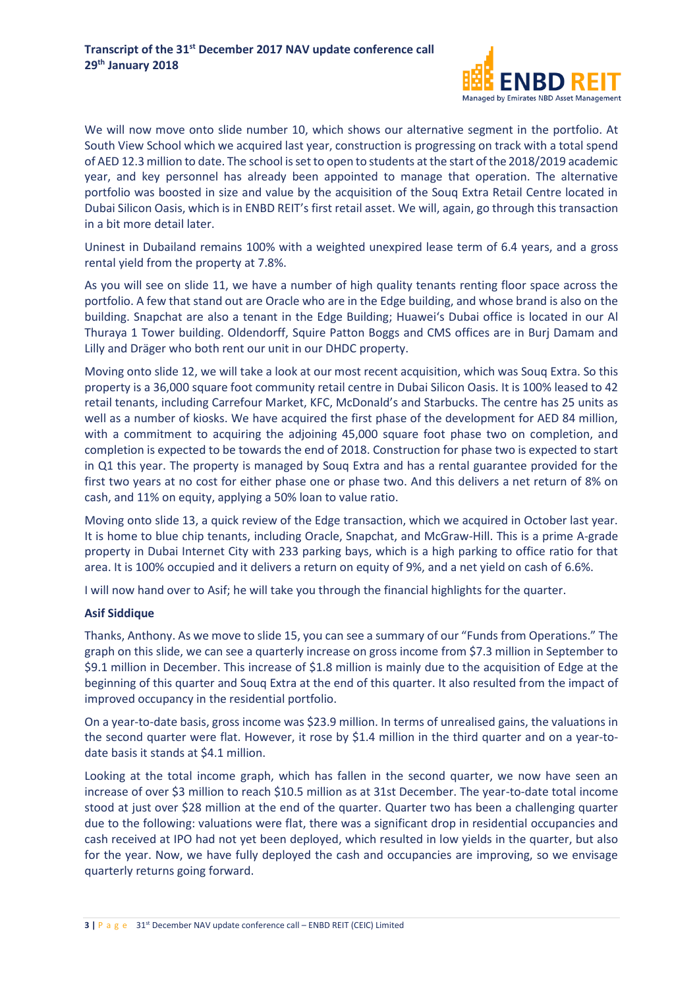

We will now move onto slide number 10, which shows our alternative segment in the portfolio. At South View School which we acquired last year, construction is progressing on track with a total spend of AED 12.3 million to date. The school is set to open to students at the start of the 2018/2019 academic year, and key personnel has already been appointed to manage that operation. The alternative portfolio was boosted in size and value by the acquisition of the Souq Extra Retail Centre located in Dubai Silicon Oasis, which is in ENBD REIT's first retail asset. We will, again, go through this transaction in a bit more detail later.

Uninest in Dubailand remains 100% with a weighted unexpired lease term of 6.4 years, and a gross rental yield from the property at 7.8%.

As you will see on slide 11, we have a number of high quality tenants renting floor space across the portfolio. A few that stand out are Oracle who are in the Edge building, and whose brand is also on the building. Snapchat are also a tenant in the Edge Building; Huawei's Dubai office is located in our Al Thuraya 1 Tower building. Oldendorff, Squire Patton Boggs and CMS offices are in Burj Damam and Lilly and Dräger who both rent our unit in our DHDC property.

Moving onto slide 12, we will take a look at our most recent acquisition, which was Souq Extra. So this property is a 36,000 square foot community retail centre in Dubai Silicon Oasis. It is 100% leased to 42 retail tenants, including Carrefour Market, KFC, McDonald's and Starbucks. The centre has 25 units as well as a number of kiosks. We have acquired the first phase of the development for AED 84 million, with a commitment to acquiring the adjoining 45,000 square foot phase two on completion, and completion is expected to be towards the end of 2018. Construction for phase two is expected to start in Q1 this year. The property is managed by Souq Extra and has a rental guarantee provided for the first two years at no cost for either phase one or phase two. And this delivers a net return of 8% on cash, and 11% on equity, applying a 50% loan to value ratio.

Moving onto slide 13, a quick review of the Edge transaction, which we acquired in October last year. It is home to blue chip tenants, including Oracle, Snapchat, and McGraw-Hill. This is a prime A-grade property in Dubai Internet City with 233 parking bays, which is a high parking to office ratio for that area. It is 100% occupied and it delivers a return on equity of 9%, and a net yield on cash of 6.6%.

I will now hand over to Asif; he will take you through the financial highlights for the quarter.

## **Asif Siddique**

Thanks, Anthony. As we move to slide 15, you can see a summary of our "Funds from Operations." The graph on this slide, we can see a quarterly increase on gross income from \$7.3 million in September to \$9.1 million in December. This increase of \$1.8 million is mainly due to the acquisition of Edge at the beginning of this quarter and Souq Extra at the end of this quarter. It also resulted from the impact of improved occupancy in the residential portfolio.

On a year-to-date basis, gross income was \$23.9 million. In terms of unrealised gains, the valuations in the second quarter were flat. However, it rose by \$1.4 million in the third quarter and on a year-todate basis it stands at \$4.1 million.

Looking at the total income graph, which has fallen in the second quarter, we now have seen an increase of over \$3 million to reach \$10.5 million as at 31st December. The year-to-date total income stood at just over \$28 million at the end of the quarter. Quarter two has been a challenging quarter due to the following: valuations were flat, there was a significant drop in residential occupancies and cash received at IPO had not yet been deployed, which resulted in low yields in the quarter, but also for the year. Now, we have fully deployed the cash and occupancies are improving, so we envisage quarterly returns going forward.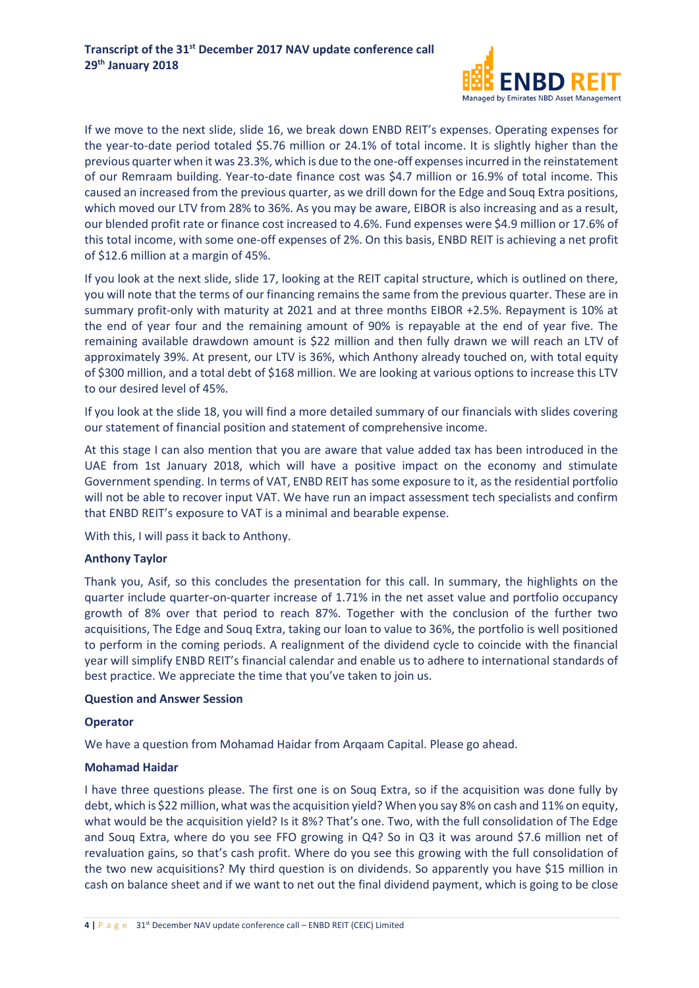

If we move to the next slide, slide 16, we break down ENBD REIT's expenses. Operating expenses for the year-to-date period totaled \$5.76 million or 24.1% of total income. It is slightly higher than the previous quarter when it was 23.3%, which is due to the one-off expenses incurred in the reinstatement of our Remraam building. Year-to-date finance cost was \$4.7 million or 16.9% of total income. This caused an increased from the previous quarter, as we drill down for the Edge and Souq Extra positions, which moved our LTV from 28% to 36%. As you may be aware, EIBOR is also increasing and as a result, our blended profit rate or finance cost increased to 4.6%. Fund expenses were \$4.9 million or 17.6% of this total income, with some one-off expenses of 2%. On this basis, ENBD REIT is achieving a net profit of \$12.6 million at a margin of 45%.

If you look at the next slide, slide 17, looking at the REIT capital structure, which is outlined on there, you will note that the terms of our financing remains the same from the previous quarter. These are in summary profit-only with maturity at 2021 and at three months EIBOR +2.5%. Repayment is 10% at the end of year four and the remaining amount of 90% is repayable at the end of year five. The remaining available drawdown amount is \$22 million and then fully drawn we will reach an LTV of approximately 39%. At present, our LTV is 36%, which Anthony already touched on, with total equity of \$300 million, and a total debt of \$168 million. We are looking at various options to increase this LTV to our desired level of 45%.

If you look at the slide 18, you will find a more detailed summary of our financials with slides covering our statement of financial position and statement of comprehensive income.

At this stage I can also mention that you are aware that value added tax has been introduced in the UAE from 1st January 2018, which will have a positive impact on the economy and stimulate Government spending. In terms of VAT, ENBD REIT has some exposure to it, as the residential portfolio will not be able to recover input VAT. We have run an impact assessment tech specialists and confirm that ENBD REIT's exposure to VAT is a minimal and bearable expense.

With this, I will pass it back to Anthony.

## **Anthony Taylor**

Thank you, Asif, so this concludes the presentation for this call. In summary, the highlights on the quarter include quarter-on-quarter increase of 1.71% in the net asset value and portfolio occupancy growth of 8% over that period to reach 87%. Together with the conclusion of the further two acquisitions, The Edge and Souq Extra, taking our loan to value to 36%, the portfolio is well positioned to perform in the coming periods. A realignment of the dividend cycle to coincide with the financial year will simplify ENBD REIT's financial calendar and enable us to adhere to international standards of best practice. We appreciate the time that you've taken to join us.

#### **Question and Answer Session**

#### **Operator**

We have a question from Mohamad Haidar from Arqaam Capital. Please go ahead.

## **Mohamad Haidar**

I have three questions please. The first one is on Souq Extra, so if the acquisition was done fully by debt, which is \$22 million, what was the acquisition yield? When you say 8% on cash and 11% on equity, what would be the acquisition yield? Is it 8%? That's one. Two, with the full consolidation of The Edge and Souq Extra, where do you see FFO growing in Q4? So in Q3 it was around \$7.6 million net of revaluation gains, so that's cash profit. Where do you see this growing with the full consolidation of the two new acquisitions? My third question is on dividends. So apparently you have \$15 million in cash on balance sheet and if we want to net out the final dividend payment, which is going to be close